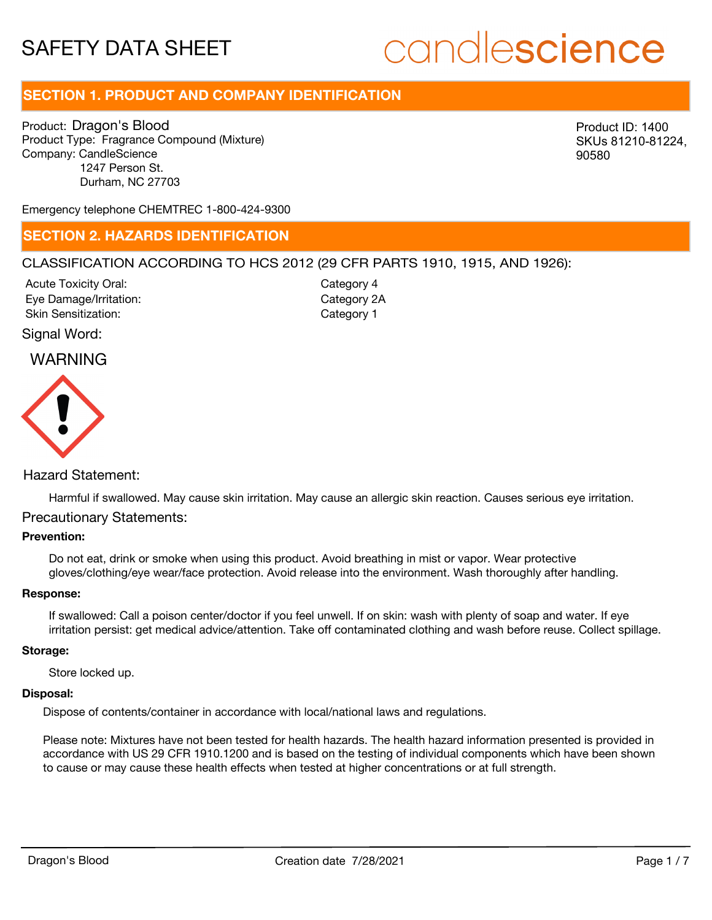# candlescience

# **SECTION 1. PRODUCT AND COMPANY IDENTIFICATION**

Product: Dragon's Blood Product Type: Fragrance Compound (Mixture) Company: CandleScience 1247 Person St. Durham, NC 27703

Product ID: 1400 SKUs 81210-81224, 90580

Emergency telephone CHEMTREC 1-800-424-9300

### **SECTION 2. HAZARDS IDENTIFICATION**

### CLASSIFICATION ACCORDING TO HCS 2012 (29 CFR PARTS 1910, 1915, AND 1926):

Acute Toxicity Oral: Eye Damage/Irritation: Skin Sensitization:

Category 4 Category 2A Category 1

### Signal Word:

## WARNING



### Hazard Statement:

Harmful if swallowed. May cause skin irritation. May cause an allergic skin reaction. Causes serious eye irritation.

### Precautionary Statements:

### **Prevention:**

Do not eat, drink or smoke when using this product. Avoid breathing in mist or vapor. Wear protective gloves/clothing/eye wear/face protection. Avoid release into the environment. Wash thoroughly after handling.

### **Response:**

If swallowed: Call a poison center/doctor if you feel unwell. If on skin: wash with plenty of soap and water. If eye irritation persist: get medical advice/attention. Take off contaminated clothing and wash before reuse. Collect spillage.

### **Storage:**

Store locked up.

### **Disposal:**

Dispose of contents/container in accordance with local/national laws and regulations.

Please note: Mixtures have not been tested for health hazards. The health hazard information presented is provided in accordance with US 29 CFR 1910.1200 and is based on the testing of individual components which have been shown to cause or may cause these health effects when tested at higher concentrations or at full strength.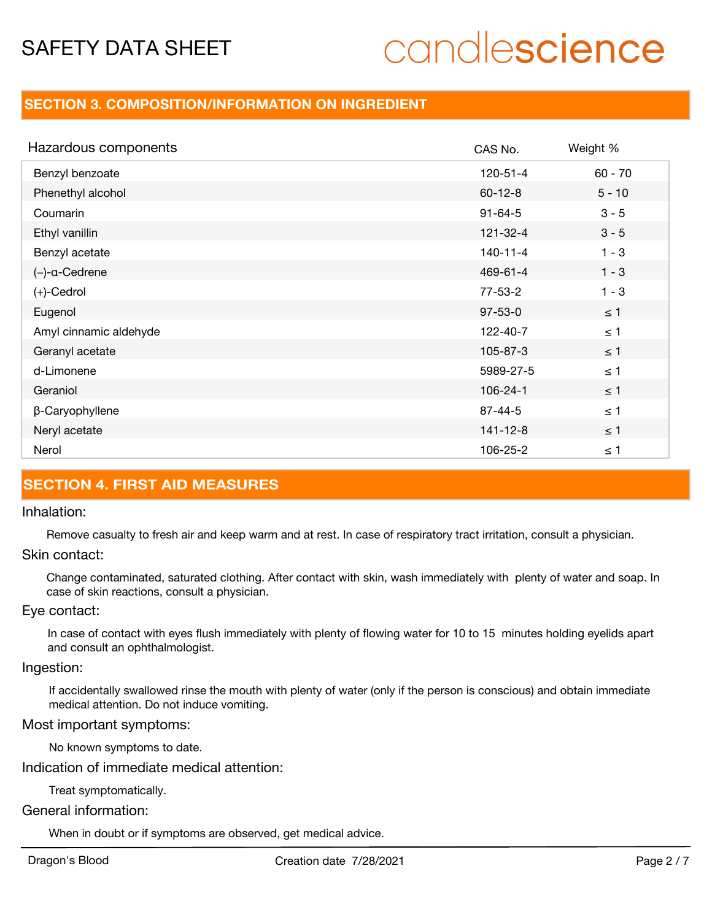# candlescience

# **SECTION 3. COMPOSITION/INFORMATION ON INGREDIENT**

| Hazardous components   | CAS No.        | Weight %  |
|------------------------|----------------|-----------|
| Benzyl benzoate        | $120 - 51 - 4$ | $60 - 70$ |
| Phenethyl alcohol      | $60 - 12 - 8$  | $5 - 10$  |
| Coumarin               | $91 - 64 - 5$  | $3 - 5$   |
| Ethyl vanillin         | $121 - 32 - 4$ | $3 - 5$   |
| Benzyl acetate         | $140 - 11 - 4$ | $1 - 3$   |
| $(-)$ -a-Cedrene       | 469-61-4       | $1 - 3$   |
| $(+)$ -Cedrol          | 77-53-2        | $1 - 3$   |
| Eugenol                | $97 - 53 - 0$  | $\leq 1$  |
| Amyl cinnamic aldehyde | 122-40-7       | $\leq 1$  |
| Geranyl acetate        | 105-87-3       | $\leq 1$  |
| d-Limonene             | 5989-27-5      | $\leq 1$  |
| Geraniol               | $106 - 24 - 1$ | $\leq 1$  |
| β-Caryophyllene        | $87 - 44 - 5$  | $\leq 1$  |
| Neryl acetate          | $141 - 12 - 8$ | $\leq 1$  |
| Nerol                  | 106-25-2       | $\leq 1$  |

# **SECTION 4. FIRST AID MEASURES**

### Inhalation:

Remove casualty to fresh air and keep warm and at rest. In case of respiratory tract irritation, consult a physician.

### Skin contact:

Change contaminated, saturated clothing. After contact with skin, wash immediately with plenty of water and soap. In case of skin reactions, consult a physician.

### Eye contact:

In case of contact with eyes flush immediately with plenty of flowing water for 10 to 15 minutes holding eyelids apart and consult an ophthalmologist.

### Ingestion:

If accidentally swallowed rinse the mouth with plenty of water (only if the person is conscious) and obtain immediate medical attention. Do not induce vomiting.

### Most important symptoms:

No known symptoms to date.

Indication of immediate medical attention:

Treat symptomatically.

### General information:

When in doubt or if symptoms are observed, get medical advice.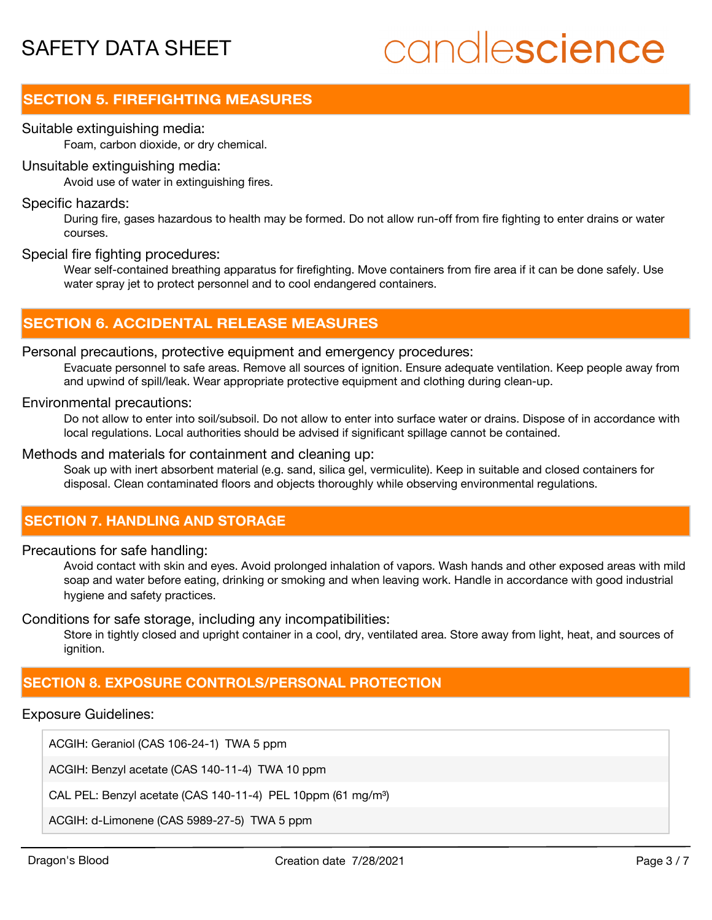# candlescience

# **SECTION 5. FIREFIGHTING MEASURES**

### Suitable extinguishing media:

Foam, carbon dioxide, or dry chemical.

### Unsuitable extinguishing media:

Avoid use of water in extinguishing fires.

### Specific hazards:

During fire, gases hazardous to health may be formed. Do not allow run-off from fire fighting to enter drains or water courses.

### Special fire fighting procedures:

Wear self-contained breathing apparatus for firefighting. Move containers from fire area if it can be done safely. Use water spray jet to protect personnel and to cool endangered containers.

# **SECTION 6. ACCIDENTAL RELEASE MEASURES**

### Personal precautions, protective equipment and emergency procedures:

Evacuate personnel to safe areas. Remove all sources of ignition. Ensure adequate ventilation. Keep people away from and upwind of spill/leak. Wear appropriate protective equipment and clothing during clean-up.

### Environmental precautions:

Do not allow to enter into soil/subsoil. Do not allow to enter into surface water or drains. Dispose of in accordance with local regulations. Local authorities should be advised if significant spillage cannot be contained.

### Methods and materials for containment and cleaning up:

Soak up with inert absorbent material (e.g. sand, silica gel, vermiculite). Keep in suitable and closed containers for disposal. Clean contaminated floors and objects thoroughly while observing environmental regulations.

### **SECTION 7. HANDLING AND STORAGE**

Precautions for safe handling:

Avoid contact with skin and eyes. Avoid prolonged inhalation of vapors. Wash hands and other exposed areas with mild soap and water before eating, drinking or smoking and when leaving work. Handle in accordance with good industrial hygiene and safety practices.

Conditions for safe storage, including any incompatibilities:

Store in tightly closed and upright container in a cool, dry, ventilated area. Store away from light, heat, and sources of ignition.

## **SECTION 8. EXPOSURE CONTROLS/PERSONAL PROTECTION**

### Exposure Guidelines:

ACGIH: Geraniol (CAS 106-24-1) TWA 5 ppm

ACGIH: Benzyl acetate (CAS 140-11-4) TWA 10 ppm

CAL PEL: Benzyl acetate (CAS 140-11-4) PEL 10ppm (61 mg/m<sup>3</sup>)

ACGIH: d-Limonene (CAS 5989-27-5) TWA 5 ppm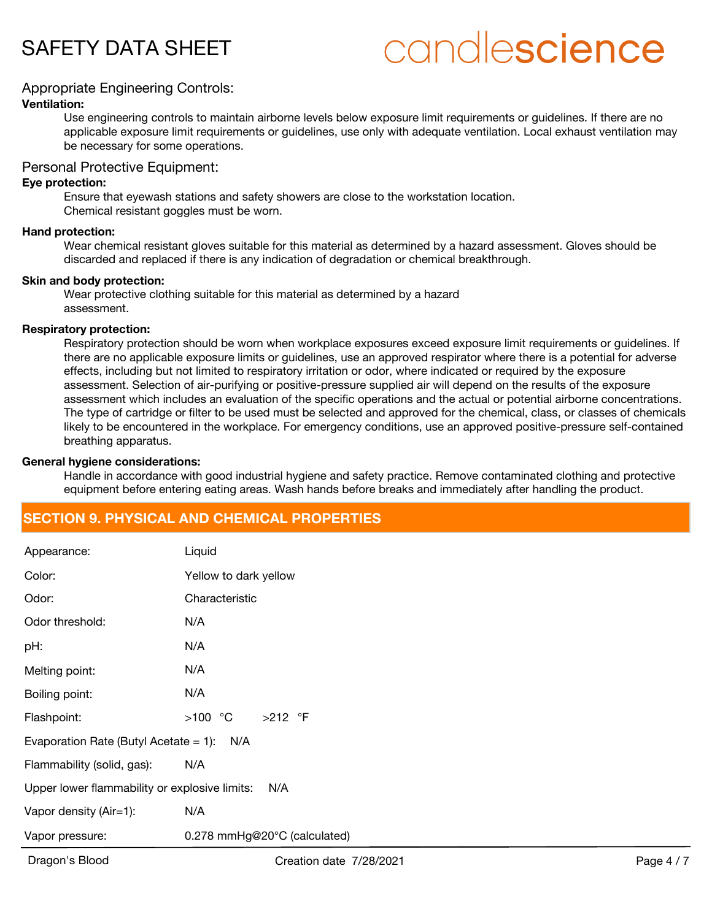# candlescience

### Appropriate Engineering Controls:

### **Ventilation:**

Use engineering controls to maintain airborne levels below exposure limit requirements or guidelines. If there are no applicable exposure limit requirements or guidelines, use only with adequate ventilation. Local exhaust ventilation may be necessary for some operations.

### Personal Protective Equipment:

### **Eye protection:**

Ensure that eyewash stations and safety showers are close to the workstation location. Chemical resistant goggles must be worn.

### **Hand protection:**

Wear chemical resistant gloves suitable for this material as determined by a hazard assessment. Gloves should be discarded and replaced if there is any indication of degradation or chemical breakthrough.

### **Skin and body protection:**

Wear protective clothing suitable for this material as determined by a hazard assessment.

### **Respiratory protection:**

Respiratory protection should be worn when workplace exposures exceed exposure limit requirements or guidelines. If there are no applicable exposure limits or guidelines, use an approved respirator where there is a potential for adverse effects, including but not limited to respiratory irritation or odor, where indicated or required by the exposure assessment. Selection of air-purifying or positive-pressure supplied air will depend on the results of the exposure assessment which includes an evaluation of the specific operations and the actual or potential airborne concentrations. The type of cartridge or filter to be used must be selected and approved for the chemical, class, or classes of chemicals likely to be encountered in the workplace. For emergency conditions, use an approved positive-pressure self-contained breathing apparatus.

### **General hygiene considerations:**

Handle in accordance with good industrial hygiene and safety practice. Remove contaminated clothing and protective equipment before entering eating areas. Wash hands before breaks and immediately after handling the product.

# **SECTION 9. PHYSICAL AND CHEMICAL PROPERTIES**

| Appearance:                                          | Liquid                       |  |
|------------------------------------------------------|------------------------------|--|
| Color:                                               | Yellow to dark yellow        |  |
| Odor:                                                | Characteristic               |  |
| Odor threshold:                                      | N/A                          |  |
| pH:                                                  | N/A                          |  |
| Melting point:                                       | N/A                          |  |
| Boiling point:                                       | N/A                          |  |
| Flashpoint:                                          | >100 °C > 212 °F             |  |
| Evaporation Rate (Butyl Acetate $= 1$ ):<br>N/A      |                              |  |
| Flammability (solid, gas):                           | N/A                          |  |
| Upper lower flammability or explosive limits:<br>N/A |                              |  |
| Vapor density (Air=1):                               | N/A                          |  |
| Vapor pressure:                                      | 0.278 mmHg@20°C (calculated) |  |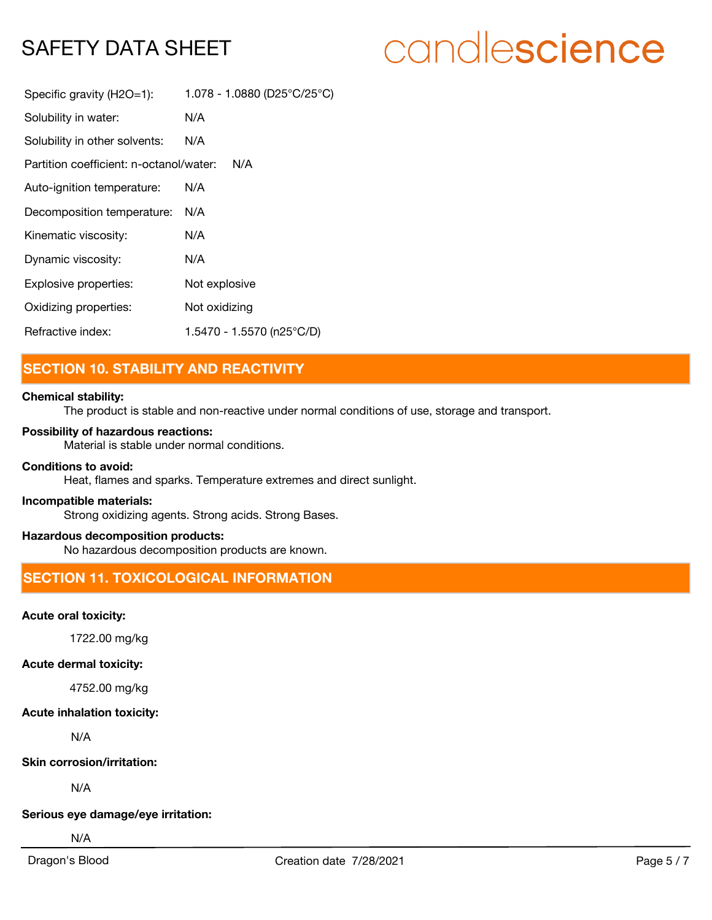# candlescience

| Specific gravity (H2O=1):               | 1.078 - 1.0880 (D25°C/25°C) |
|-----------------------------------------|-----------------------------|
| Solubility in water:                    | N/A                         |
| Solubility in other solvents:           | N/A                         |
| Partition coefficient: n-octanol/water: | N/A                         |
| Auto-ignition temperature:              | N/A                         |
| Decomposition temperature:              | N/A                         |
| Kinematic viscosity:                    | N/A                         |
| Dynamic viscosity:                      | N/A                         |
| Explosive properties:                   | Not explosive               |
| Oxidizing properties:                   | Not oxidizing               |
| Refractive index:                       | 1.5470 - 1.5570 (n25°C/D)   |
|                                         |                             |

# **SECTION 10. STABILITY AND REACTIVITY**

### **Chemical stability:**

The product is stable and non-reactive under normal conditions of use, storage and transport.

### **Possibility of hazardous reactions:**

Material is stable under normal conditions.

### **Conditions to avoid:**

Heat, flames and sparks. Temperature extremes and direct sunlight.

### **Incompatible materials:**

Strong oxidizing agents. Strong acids. Strong Bases.

### **Hazardous decomposition products:**

No hazardous decomposition products are known.

# **SECTION 11. TOXICOLOGICAL INFORMATION**

### **Acute oral toxicity:**

1722.00 mg/kg

### **Acute dermal toxicity:**

4752.00 mg/kg

### **Acute inhalation toxicity:**

N/A

### **Skin corrosion/irritation:**

N/A

### **Serious eye damage/eye irritation:**

N/A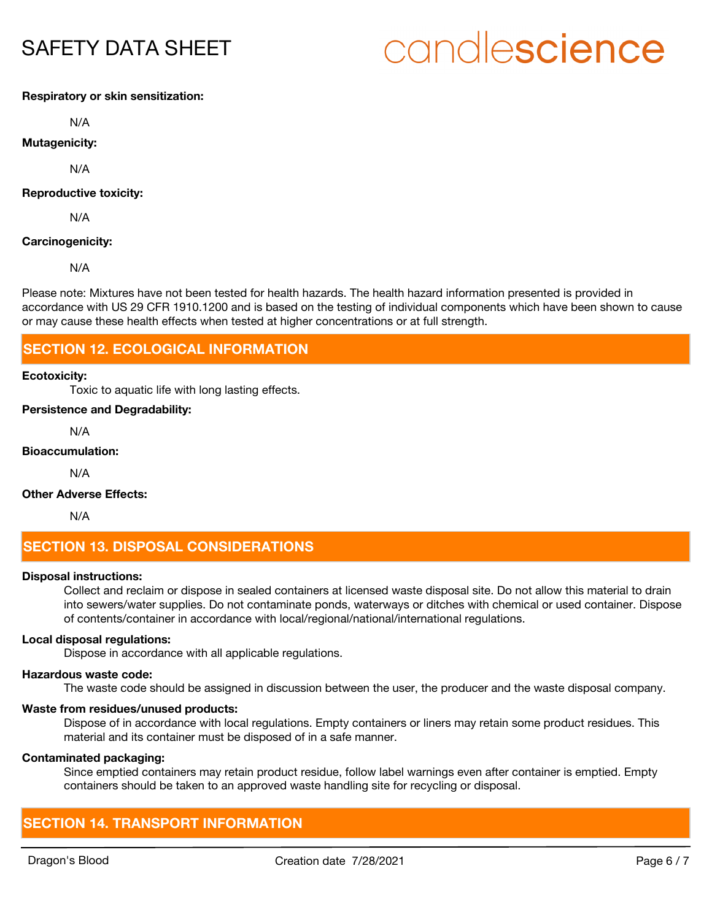# candlescience

### **Respiratory or skin sensitization:**

N/A

### **Mutagenicity:**

N/A

### **Reproductive toxicity:**

N/A

### **Carcinogenicity:**

N/A

Please note: Mixtures have not been tested for health hazards. The health hazard information presented is provided in accordance with US 29 CFR 1910.1200 and is based on the testing of individual components which have been shown to cause or may cause these health effects when tested at higher concentrations or at full strength.

## **SECTION 12. ECOLOGICAL INFORMATION**

### **Ecotoxicity:**

Toxic to aquatic life with long lasting effects.

### **Persistence and Degradability:**

N/A

### **Bioaccumulation:**

N/A

### **Other Adverse Effects:**

N/A

# **SECTION 13. DISPOSAL CONSIDERATIONS**

### **Disposal instructions:**

Collect and reclaim or dispose in sealed containers at licensed waste disposal site. Do not allow this material to drain into sewers/water supplies. Do not contaminate ponds, waterways or ditches with chemical or used container. Dispose of contents/container in accordance with local/regional/national/international regulations.

### **Local disposal regulations:**

Dispose in accordance with all applicable regulations.

#### **Hazardous waste code:**

The waste code should be assigned in discussion between the user, the producer and the waste disposal company.

### **Waste from residues/unused products:**

Dispose of in accordance with local regulations. Empty containers or liners may retain some product residues. This material and its container must be disposed of in a safe manner.

#### **Contaminated packaging:**

Since emptied containers may retain product residue, follow label warnings even after container is emptied. Empty containers should be taken to an approved waste handling site for recycling or disposal.

# **SECTION 14. TRANSPORT INFORMATION**